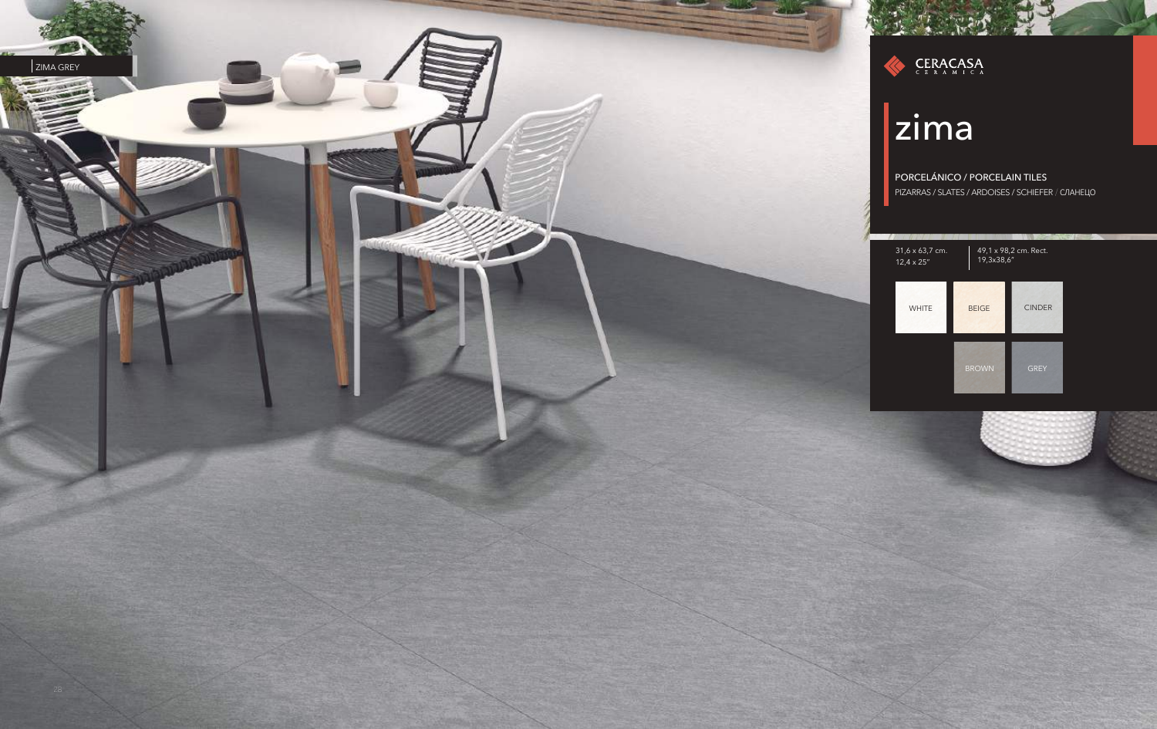



### zima

PORCELÁNICO / PORCELAIN TILES PIZARRAS / SLATES / ARDOISES / SCHIEFER / CЛАНЕЦО



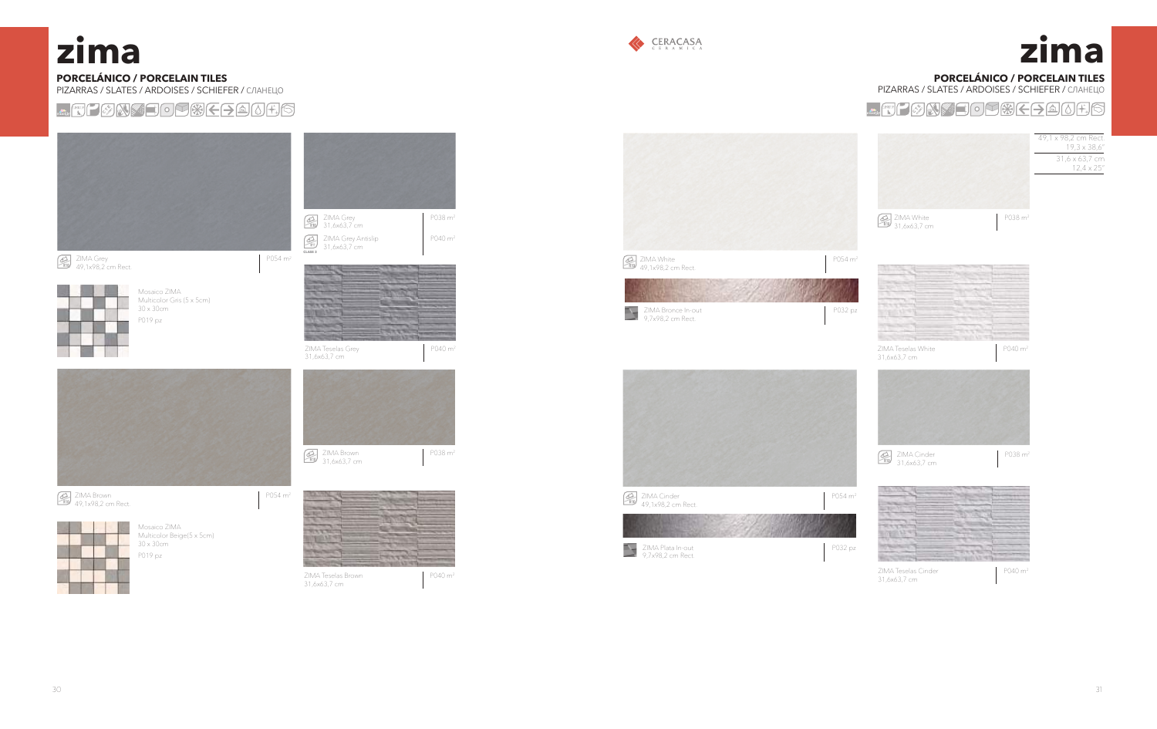#### **PORCELÁNICO / PORCELAIN TILES** PIZARRAS / SLATES / ARDOISES / SCHIEFER / CЛАНЕЦО



# $z$ *ima*



### **PORCELÁNICO / PORCELAIN TILES**

PIZARRAS / SLATES / ARDOISES / SCHIEFER / CЛАНЕЦО

**FONSEOFREEDER** 













## **zıma**